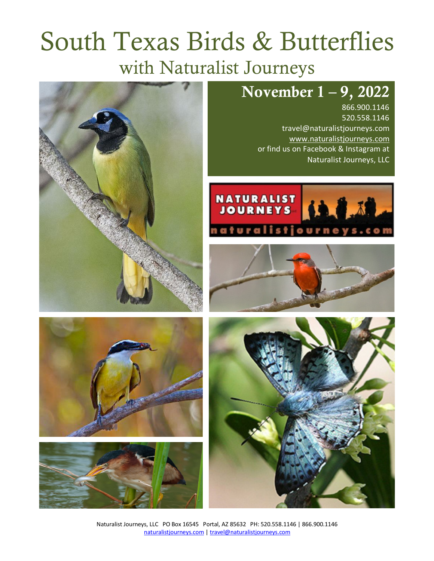# South Texas Birds & Butterflies with Naturalist Journeys

# November 1 – 9, 2022

866.900.1146 520.558.1146 travel@naturalistjourneys.com www.naturalistjourneys.com or find us on Facebook & Instagram at Naturalist Journeys, LLC













Naturalist Journeys, LLC PO Box 16545 Portal, AZ 85632 PH: 520.558.1146 | 866.900.1146 naturalistjourneys.com | travel@naturalistjourneys.com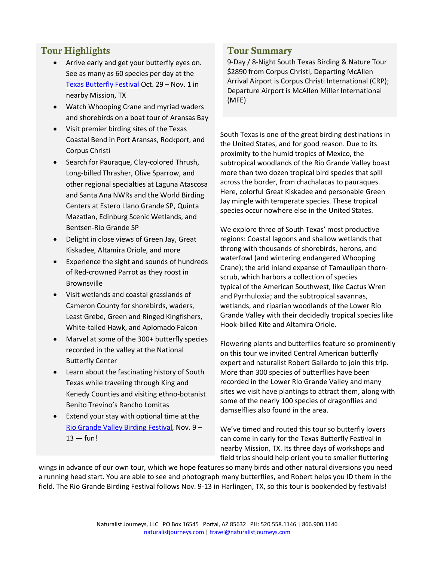# Tour Highlights

- Arrive early and get your butterfly eyes on. See as many as 60 species per day at the Texas Butterfly Festival Oct. 29 – Nov. 1 in nearby Mission, TX
- Watch Whooping Crane and myriad waders and shorebirds on a boat tour of Aransas Bay
- Visit premier birding sites of the Texas Coastal Bend in Port Aransas, Rockport, and Corpus Christi
- Search for Pauraque, Clay-colored Thrush, Long-billed Thrasher, Olive Sparrow, and other regional specialties at Laguna Atascosa and Santa Ana NWRs and the World Birding Centers at Estero Llano Grande SP, Quinta Mazatlan, Edinburg Scenic Wetlands, and Bentsen-Rio Grande SP
- Delight in close views of Green Jay, Great Kiskadee, Altamira Oriole, and more
- Experience the sight and sounds of hundreds of Red-crowned Parrot as they roost in Brownsville
- Visit wetlands and coastal grasslands of Cameron County for shorebirds, waders, Least Grebe, Green and Ringed Kingfishers, White-tailed Hawk, and Aplomado Falcon
- Marvel at some of the 300+ butterfly species recorded in the valley at the National Butterfly Center
- Learn about the fascinating history of South Texas while traveling through King and Kenedy Counties and visiting ethno-botanist Benito Trevino's Rancho Lomitas
- Extend your stay with optional time at the Rio Grande Valley Birding Festival, Nov. 9 –  $13 - \text{full}$

#### Tour Summary

9-Day / 8-Night South Texas Birding & Nature Tour \$2890 from Corpus Christi, Departing McAllen Arrival Airport is Corpus Christi International (CRP); Departure Airport is McAllen Miller International (MFE)

South Texas is one of the great birding destinations in the United States, and for good reason. Due to its proximity to the humid tropics of Mexico, the subtropical woodlands of the Rio Grande Valley boast more than two dozen tropical bird species that spill across the border, from chachalacas to pauraques. Here, colorful Great Kiskadee and personable Green Jay mingle with temperate species. These tropical species occur nowhere else in the United States.

We explore three of South Texas' most productive regions: Coastal lagoons and shallow wetlands that throng with thousands of shorebirds, herons, and waterfowl (and wintering endangered Whooping Crane); the arid inland expanse of Tamaulipan thornscrub, which harbors a collection of species typical of the American Southwest, like Cactus Wren and Pyrrhuloxia; and the subtropical savannas, wetlands, and riparian woodlands of the Lower Rio Grande Valley with their decidedly tropical species like Hook-billed Kite and Altamira Oriole.

Flowering plants and butterflies feature so prominently on this tour we invited Central American butterfly expert and naturalist Robert Gallardo to join this trip. More than 300 species of butterflies have been recorded in the Lower Rio Grande Valley and many sites we visit have plantings to attract them, along with some of the nearly 100 species of dragonflies and damselflies also found in the area.

We've timed and routed this tour so butterfly lovers can come in early for the Texas Butterfly Festival in nearby Mission, TX. Its three days of workshops and field trips should help orient you to smaller fluttering

wings in advance of our own tour, which we hope features so many birds and other natural diversions you need a running head start. You are able to see and photograph many butterflies, and Robert helps you ID them in the field. The Rio Grande Birding Festival follows Nov. 9-13 in Harlingen, TX, so this tour is bookended by festivals!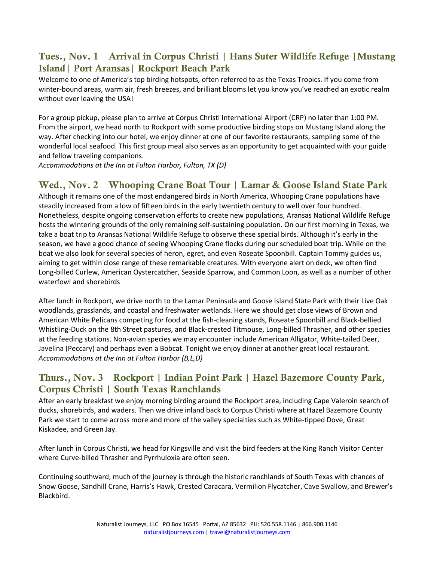#### Tues., Nov. 1 Arrival in Corpus Christi | Hans Suter Wildlife Refuge |Mustang Island| Port Aransas| Rockport Beach Park

Welcome to one of America's top birding hotspots, often referred to as the Texas Tropics. If you come from winter-bound areas, warm air, fresh breezes, and brilliant blooms let you know you've reached an exotic realm without ever leaving the USA!

For a group pickup, please plan to arrive at Corpus Christi International Airport (CRP) no later than 1:00 PM. From the airport, we head north to Rockport with some productive birding stops on Mustang Island along the way. After checking into our hotel, we enjoy dinner at one of our favorite restaurants, sampling some of the wonderful local seafood. This first group meal also serves as an opportunity to get acquainted with your guide and fellow traveling companions.

*Accommodations at the Inn at Fulton Harbor, Fulton, TX (D)* 

#### Wed., Nov. 2 Whooping Crane Boat Tour | Lamar & Goose Island State Park

Although it remains one of the most endangered birds in North America, Whooping Crane populations have steadily increased from a low of fifteen birds in the early twentieth century to well over four hundred. Nonetheless, despite ongoing conservation efforts to create new populations, Aransas National Wildlife Refuge hosts the wintering grounds of the only remaining self-sustaining population. On our first morning in Texas, we take a boat trip to Aransas National Wildlife Refuge to observe these special birds. Although it's early in the season, we have a good chance of seeing Whooping Crane flocks during our scheduled boat trip. While on the boat we also look for several species of heron, egret, and even Roseate Spoonbill. Captain Tommy guides us, aiming to get within close range of these remarkable creatures. With everyone alert on deck, we often find Long-billed Curlew, American Oystercatcher, Seaside Sparrow, and Common Loon, as well as a number of other waterfowl and shorebirds

After lunch in Rockport, we drive north to the Lamar Peninsula and Goose Island State Park with their Live Oak woodlands, grasslands, and coastal and freshwater wetlands. Here we should get close views of Brown and American White Pelicans competing for food at the fish-cleaning stands, Roseate Spoonbill and Black-bellied Whistling-Duck on the 8th Street pastures, and Black-crested Titmouse, Long-billed Thrasher, and other species at the feeding stations. Non-avian species we may encounter include American Alligator, White-tailed Deer, Javelina (Peccary) and perhaps even a Bobcat. Tonight we enjoy dinner at another great local restaurant. *Accommodations at the Inn at Fulton Harbor (B,L,D)*

## Thurs., Nov. 3 Rockport | Indian Point Park | Hazel Bazemore County Park, Corpus Christi | South Texas Ranchlands

After an early breakfast we enjoy morning birding around the Rockport area, including Cape Valeroin search of ducks, shorebirds, and waders. Then we drive inland back to Corpus Christi where at Hazel Bazemore County Park we start to come across more and more of the valley specialties such as White-tipped Dove, Great Kiskadee, and Green Jay.

After lunch in Corpus Christi, we head for Kingsville and visit the bird feeders at the King Ranch Visitor Center where Curve-billed Thrasher and Pyrrhuloxia are often seen.

Continuing southward, much of the journey is through the historic ranchlands of South Texas with chances of Snow Goose, Sandhill Crane, Harris's Hawk, Crested Caracara, Vermilion Flycatcher, Cave Swallow, and Brewer's Blackbird.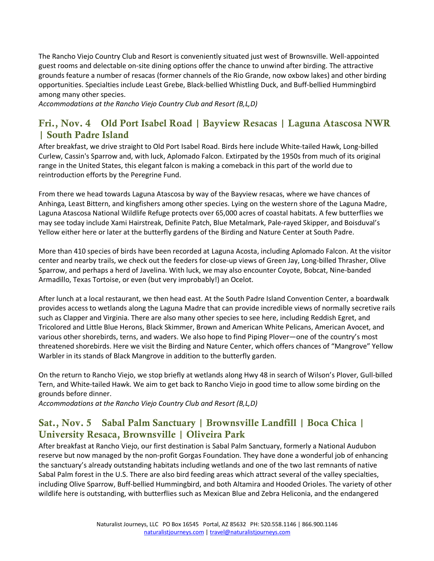The Rancho Viejo Country Club and Resort is conveniently situated just west of Brownsville. Well-appointed guest rooms and delectable on-site dining options offer the chance to unwind after birding. The attractive grounds feature a number of resacas (former channels of the Rio Grande, now oxbow lakes) and other birding opportunities. Specialties include Least Grebe, Black-bellied Whistling Duck, and Buff-bellied Hummingbird among many other species.

*Accommodations at the Rancho Viejo Country Club and Resort (B,L,D)* 

#### Fri., Nov. 4 Old Port Isabel Road | Bayview Resacas | Laguna Atascosa NWR | South Padre Island

After breakfast, we drive straight to Old Port Isabel Road. Birds here include White-tailed Hawk, Long-billed Curlew, Cassin's Sparrow and, with luck, Aplomado Falcon. Extirpated by the 1950s from much of its original range in the United States, this elegant falcon is making a comeback in this part of the world due to reintroduction efforts by the Peregrine Fund.

From there we head towards Laguna Atascosa by way of the Bayview resacas, where we have chances of Anhinga, Least Bittern, and kingfishers among other species. Lying on the western shore of the Laguna Madre, Laguna Atascosa National Wildlife Refuge protects over 65,000 acres of coastal habitats. A few butterflies we may see today include Xami Hairstreak, Definite Patch, Blue Metalmark, Pale-rayed Skipper, and Boisduval's Yellow either here or later at the butterfly gardens of the Birding and Nature Center at South Padre.

More than 410 species of birds have been recorded at Laguna Acosta, including Aplomado Falcon. At the visitor center and nearby trails, we check out the feeders for close-up views of Green Jay, Long-billed Thrasher, Olive Sparrow, and perhaps a herd of Javelina. With luck, we may also encounter Coyote, Bobcat, Nine-banded Armadillo, Texas Tortoise, or even (but very improbably!) an Ocelot.

After lunch at a local restaurant, we then head east. At the South Padre Island Convention Center, a boardwalk provides access to wetlands along the Laguna Madre that can provide incredible views of normally secretive rails such as Clapper and Virginia. There are also many other species to see here, including Reddish Egret, and Tricolored and Little Blue Herons, Black Skimmer, Brown and American White Pelicans, American Avocet, and various other shorebirds, terns, and waders. We also hope to find Piping Plover―one of the country's most threatened shorebirds. Here we visit the Birding and Nature Center, which offers chances of "Mangrove" Yellow Warbler in its stands of Black Mangrove in addition to the butterfly garden.

On the return to Rancho Viejo, we stop briefly at wetlands along Hwy 48 in search of Wilson's Plover, Gull-billed Tern, and White-tailed Hawk. We aim to get back to Rancho Viejo in good time to allow some birding on the grounds before dinner.

*Accommodations at the Rancho Viejo Country Club and Resort (B,L,D)* 

## Sat., Nov. 5 Sabal Palm Sanctuary | Brownsville Landfill | Boca Chica | University Resaca, Brownsville | Oliveira Park

After breakfast at Rancho Viejo, our first destination is Sabal Palm Sanctuary, formerly a National Audubon reserve but now managed by the non-profit Gorgas Foundation. They have done a wonderful job of enhancing the sanctuary's already outstanding habitats including wetlands and one of the two last remnants of native Sabal Palm forest in the U.S. There are also bird feeding areas which attract several of the valley specialties, including Olive Sparrow, Buff-bellied Hummingbird, and both Altamira and Hooded Orioles. The variety of other wildlife here is outstanding, with butterflies such as Mexican Blue and Zebra Heliconia, and the endangered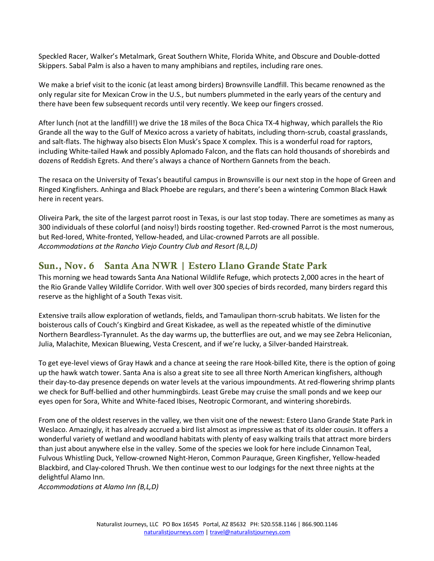Speckled Racer, Walker's Metalmark, Great Southern White, Florida White, and Obscure and Double-dotted Skippers. Sabal Palm is also a haven to many amphibians and reptiles, including rare ones.

We make a brief visit to the iconic (at least among birders) Brownsville Landfill. This became renowned as the only regular site for Mexican Crow in the U.S., but numbers plummeted in the early years of the century and there have been few subsequent records until very recently. We keep our fingers crossed.

After lunch (not at the landfill!) we drive the 18 miles of the Boca Chica TX-4 highway, which parallels the Rio Grande all the way to the Gulf of Mexico across a variety of habitats, including thorn-scrub, coastal grasslands, and salt-flats. The highway also bisects Elon Musk's Space X complex. This is a wonderful road for raptors, including White-tailed Hawk and possibly Aplomado Falcon, and the flats can hold thousands of shorebirds and dozens of Reddish Egrets. And there's always a chance of Northern Gannets from the beach.

The resaca on the University of Texas's beautiful campus in Brownsville is our next stop in the hope of Green and Ringed Kingfishers. Anhinga and Black Phoebe are regulars, and there's been a wintering Common Black Hawk here in recent years.

Oliveira Park, the site of the largest parrot roost in Texas, is our last stop today. There are sometimes as many as 300 individuals of these colorful (and noisy!) birds roosting together. Red-crowned Parrot is the most numerous, but Red-lored, White-fronted, Yellow-headed, and Lilac-crowned Parrots are all possible. *Accommodations at the Rancho Viejo Country Club and Resort (B,L,D)*

#### Sun., Nov. 6 Santa Ana NWR | Estero Llano Grande State Park

This morning we head towards Santa Ana National Wildlife Refuge, which protects 2,000 acres in the heart of the Rio Grande Valley Wildlife Corridor. With well over 300 species of birds recorded, many birders regard this reserve as the highlight of a South Texas visit.

Extensive trails allow exploration of wetlands, fields, and Tamaulipan thorn-scrub habitats. We listen for the boisterous calls of Couch's Kingbird and Great Kiskadee, as well as the repeated whistle of the diminutive Northern Beardless-Tyrannulet. As the day warms up, the butterflies are out, and we may see Zebra Heliconian, Julia, Malachite, Mexican Bluewing, Vesta Crescent, and if we're lucky, a Silver-banded Hairstreak.

To get eye-level views of Gray Hawk and a chance at seeing the rare Hook-billed Kite, there is the option of going up the hawk watch tower. Santa Ana is also a great site to see all three North American kingfishers, although their day-to-day presence depends on water levels at the various impoundments. At red-flowering shrimp plants we check for Buff-bellied and other hummingbirds. Least Grebe may cruise the small ponds and we keep our eyes open for Sora, White and White-faced Ibises, Neotropic Cormorant, and wintering shorebirds.

From one of the oldest reserves in the valley, we then visit one of the newest: Estero Llano Grande State Park in Weslaco. Amazingly, it has already accrued a bird list almost as impressive as that of its older cousin. It offers a wonderful variety of wetland and woodland habitats with plenty of easy walking trails that attract more birders than just about anywhere else in the valley. Some of the species we look for here include Cinnamon Teal, Fulvous Whistling Duck, Yellow-crowned Night-Heron, Common Pauraque, Green Kingfisher, Yellow-headed Blackbird, and Clay-colored Thrush. We then continue west to our lodgings for the next three nights at the delightful Alamo Inn.

*Accommodations at Alamo Inn (B,L,D)*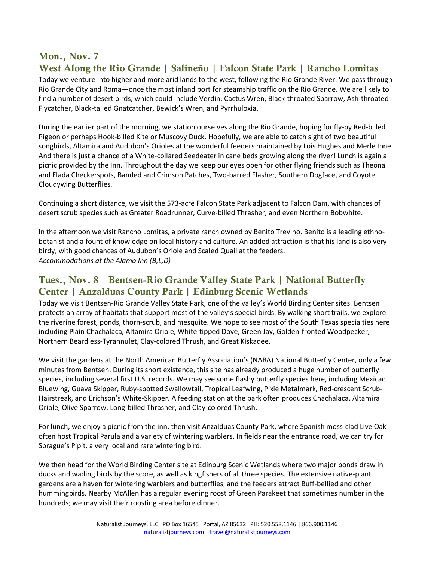#### Mon., Nov. 7

# West Along the Rio Grande | Salineño | Falcon State Park | Rancho Lomitas

Today we venture into higher and more arid lands to the west, following the Rio Grande River. We pass through Rio Grande City and Roma—once the most inland port for steamship traffic on the Rio Grande. We are likely to find a number of desert birds, which could include Verdin, Cactus Wren, Black-throated Sparrow, Ash-throated Flycatcher, Black-tailed Gnatcatcher, Bewick's Wren, and Pyrrhuloxia.

During the earlier part of the morning, we station ourselves along the Rio Grande, hoping for fly-by Red-billed Pigeon or perhaps Hook-billed Kite or Muscovy Duck. Hopefully, we are able to catch sight of two beautiful songbirds, Altamira and Audubon's Orioles at the wonderful feeders maintained by Lois Hughes and Merle Ihne. And there is just a chance of a White-collared Seedeater in cane beds growing along the river! Lunch is again a picnic provided by the Inn. Throughout the day we keep our eyes open for other flying friends such as Theona and Elada Checkerspots, Banded and Crimson Patches, Two-barred Flasher, Southern Dogface, and Coyote Cloudywing Butterflies.

Continuing a short distance, we visit the 573-acre Falcon State Park adjacent to Falcon Dam, with chances of desert scrub species such as Greater Roadrunner, Curve-billed Thrasher, and even Northern Bobwhite.

In the afternoon we visit Rancho Lomitas, a private ranch owned by Benito Trevino. Benito is a leading ethnobotanist and a fount of knowledge on local history and culture. An added attraction is that his land is also very birdy, with good chances of Audubon's Oriole and Scaled Quail at the feeders. *Accommodations at the Alamo Inn (B,L,D)*

#### Tues., Nov. 8 Bentsen-Rio Grande Valley State Park | National Butterfly Center | Anzalduas County Park | Edinburg Scenic Wetlands

Today we visit Bentsen-Rio Grande Valley State Park, one of the valley's World Birding Center sites. Bentsen protects an array of habitats that support most of the valley's special birds. By walking short trails, we explore the riverine forest, ponds, thorn-scrub, and mesquite. We hope to see most of the South Texas specialties here including Plain Chachalaca, Altamira Oriole, White-tipped Dove, Green Jay, Golden-fronted Woodpecker, Northern Beardless-Tyrannulet, Clay-colored Thrush, and Great Kiskadee.

We visit the gardens at the North American Butterfly Association's (NABA) National Butterfly Center, only a few minutes from Bentsen. During its short existence, this site has already produced a huge number of butterfly species, including several first U.S. records. We may see some flashy butterfly species here, including Mexican Bluewing, Guava Skipper, Ruby-spotted Swallowtail, Tropical Leafwing, Pixie Metalmark, Red-crescent Scrub-Hairstreak, and Erichson's White-Skipper. A feeding station at the park often produces Chachalaca, Altamira Oriole, Olive Sparrow, Long-billed Thrasher, and Clay-colored Thrush.

For lunch, we enjoy a picnic from the inn, then visit Anzalduas County Park, where Spanish moss-clad Live Oak often host Tropical Parula and a variety of wintering warblers. In fields near the entrance road, we can try for Sprague's Pipit, a very local and rare wintering bird.

We then head for the World Birding Center site at Edinburg Scenic Wetlands where two major ponds draw in ducks and wading birds by the score, as well as kingfishers of all three species. The extensive native-plant gardens are a haven for wintering warblers and butterflies, and the feeders attract Buff-bellied and other hummingbirds. Nearby McAllen has a regular evening roost of Green Parakeet that sometimes number in the hundreds; we may visit their roosting area before dinner.